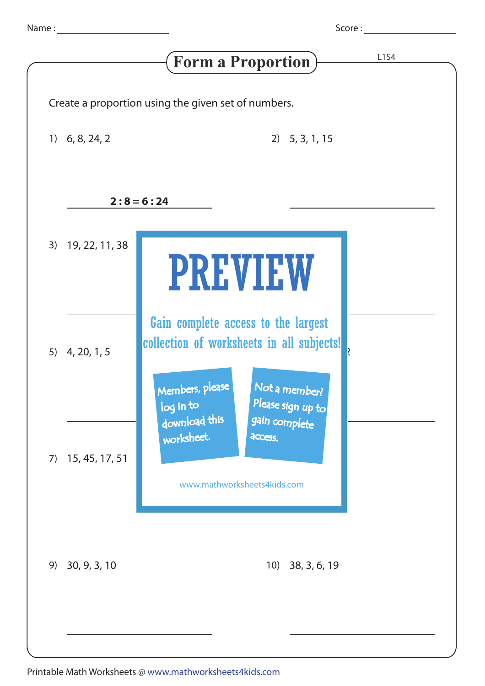